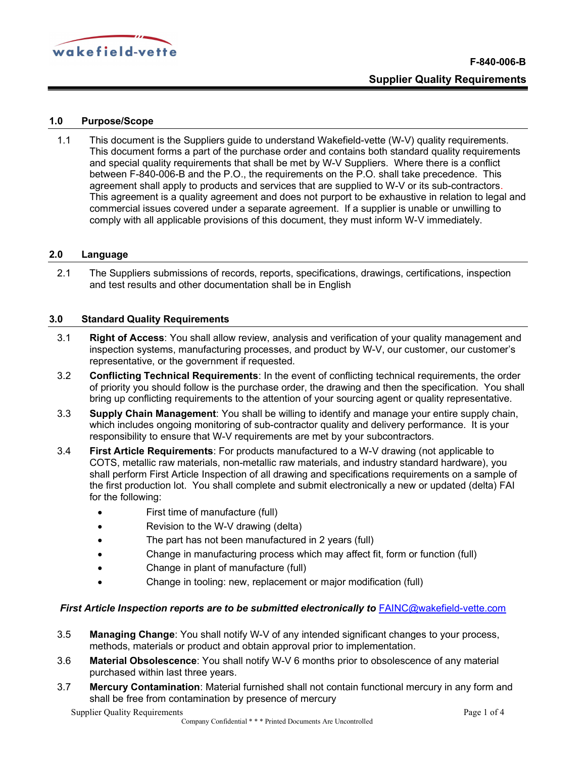

# 1.0 Purpose/Scope

1.1 This document is the Suppliers guide to understand Wakefield-vette (W-V) quality requirements. This document forms a part of the purchase order and contains both standard quality requirements and special quality requirements that shall be met by W-V Suppliers. Where there is a conflict between F-840-006-B and the P.O., the requirements on the P.O. shall take precedence. This agreement shall apply to products and services that are supplied to W-V or its sub-contractors. This agreement is a quality agreement and does not purport to be exhaustive in relation to legal and commercial issues covered under a separate agreement. If a supplier is unable or unwilling to comply with all applicable provisions of this document, they must inform W-V immediately.

#### 2.0 Language

2.1 The Suppliers submissions of records, reports, specifications, drawings, certifications, inspection and test results and other documentation shall be in English

#### 3.0 Standard Quality Requirements

- 3.1 **Right of Access:** You shall allow review, analysis and verification of your quality management and inspection systems, manufacturing processes, and product by W-V, our customer, our customer's representative, or the government if requested.
- 3.2 Conflicting Technical Requirements: In the event of conflicting technical requirements, the order of priority you should follow is the purchase order, the drawing and then the specification. You shall bring up conflicting requirements to the attention of your sourcing agent or quality representative.
- 3.3 Supply Chain Management: You shall be willing to identify and manage your entire supply chain, which includes ongoing monitoring of sub-contractor quality and delivery performance. It is your responsibility to ensure that W-V requirements are met by your subcontractors.
- 3.4 **First Article Requirements**: For products manufactured to a W-V drawing (not applicable to COTS, metallic raw materials, non-metallic raw materials, and industry standard hardware), you shall perform First Article Inspection of all drawing and specifications requirements on a sample of the first production lot. You shall complete and submit electronically a new or updated (delta) FAI for the following:
	- First time of manufacture (full)
	- Revision to the W-V drawing (delta)
	- The part has not been manufactured in 2 years (full)
	- Change in manufacturing process which may affect fit, form or function (full)
	- Change in plant of manufacture (full)
	- Change in tooling: new, replacement or major modification (full)

## First Article Inspection reports are to be submitted electronically to FAINC@wakefield-vette.com

- 3.5 Managing Change: You shall notify W-V of any intended significant changes to your process, methods, materials or product and obtain approval prior to implementation.
- 3.6 Material Obsolescence: You shall notify W-V 6 months prior to obsolescence of any material purchased within last three years.
- 3.7 **Mercury Contamination**: Material furnished shall not contain functional mercury in any form and shall be free from contamination by presence of mercury

Supplier Quality Requirements **Page 1 of 4**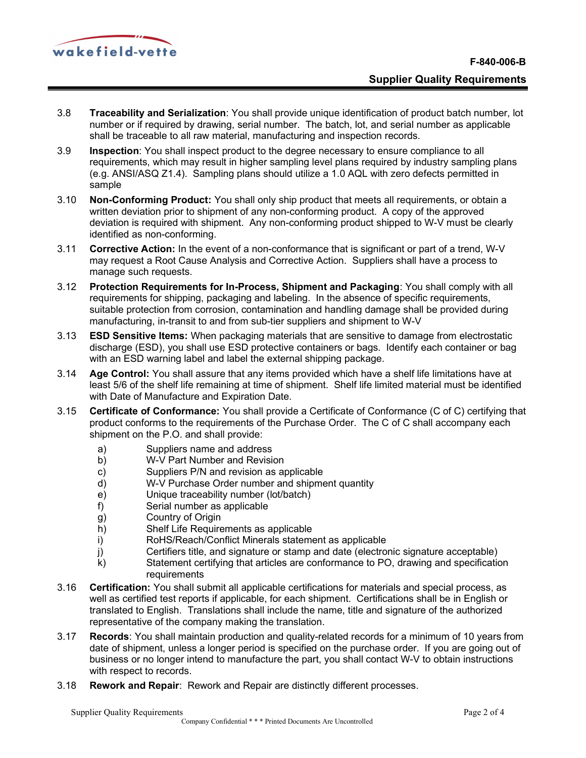

- 3.8 Traceability and Serialization: You shall provide unique identification of product batch number, lot number or if required by drawing, serial number. The batch, lot, and serial number as applicable shall be traceable to all raw material, manufacturing and inspection records.
- 3.9 Inspection: You shall inspect product to the degree necessary to ensure compliance to all requirements, which may result in higher sampling level plans required by industry sampling plans (e.g. ANSI/ASQ Z1.4). Sampling plans should utilize a 1.0 AQL with zero defects permitted in sample
- 3.10 Non-Conforming Product: You shall only ship product that meets all requirements, or obtain a written deviation prior to shipment of any non-conforming product. A copy of the approved deviation is required with shipment. Any non-conforming product shipped to W-V must be clearly identified as non-conforming.
- 3.11 Corrective Action: In the event of a non-conformance that is significant or part of a trend, W-V may request a Root Cause Analysis and Corrective Action. Suppliers shall have a process to manage such requests.
- 3.12 Protection Requirements for In-Process, Shipment and Packaging: You shall comply with all requirements for shipping, packaging and labeling. In the absence of specific requirements, suitable protection from corrosion, contamination and handling damage shall be provided during manufacturing, in-transit to and from sub-tier suppliers and shipment to W-V
- 3.13 **ESD Sensitive Items:** When packaging materials that are sensitive to damage from electrostatic discharge (ESD), you shall use ESD protective containers or bags. Identify each container or bag with an ESD warning label and label the external shipping package.
- 3.14 Age Control: You shall assure that any items provided which have a shelf life limitations have at least 5/6 of the shelf life remaining at time of shipment. Shelf life limited material must be identified with Date of Manufacture and Expiration Date.
- 3.15 Certificate of Conformance: You shall provide a Certificate of Conformance (C of C) certifying that product conforms to the requirements of the Purchase Order. The C of C shall accompany each shipment on the P.O. and shall provide:
	- a) Suppliers name and address
	- b) W-V Part Number and Revision
	- c) Suppliers P/N and revision as applicable
	- d) W-V Purchase Order number and shipment quantity
	- e) Unique traceability number (lot/batch)
	- f) Serial number as applicable
	- g) Country of Origin
	- h) Shelf Life Requirements as applicable
	- i) RoHS/Reach/Conflict Minerals statement as applicable
	- j) Certifiers title, and signature or stamp and date (electronic signature acceptable)
	- k) Statement certifying that articles are conformance to PO, drawing and specification requirements
- 3.16 Certification: You shall submit all applicable certifications for materials and special process, as well as certified test reports if applicable, for each shipment. Certifications shall be in English or translated to English. Translations shall include the name, title and signature of the authorized representative of the company making the translation.
- 3.17 Records: You shall maintain production and quality-related records for a minimum of 10 years from date of shipment, unless a longer period is specified on the purchase order. If you are going out of business or no longer intend to manufacture the part, you shall contact W-V to obtain instructions with respect to records.
- 3.18 Rework and Repair: Rework and Repair are distinctly different processes.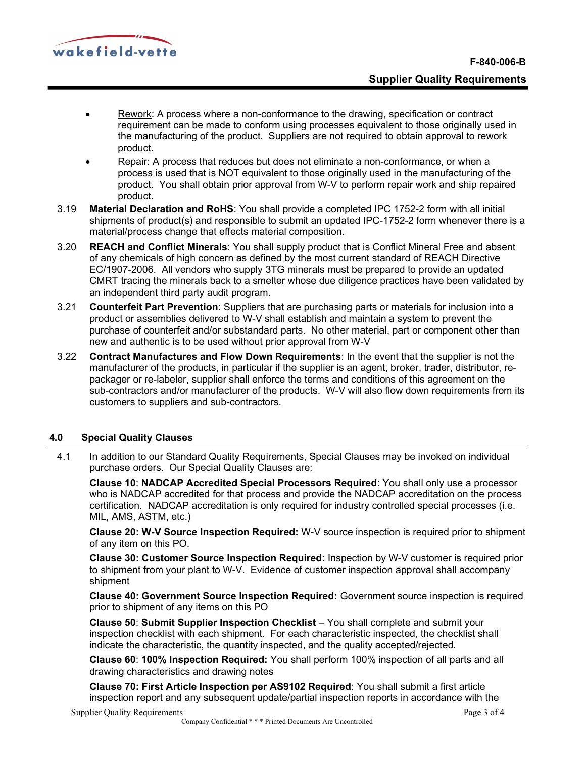

- Rework: A process where a non-conformance to the drawing, specification or contract requirement can be made to conform using processes equivalent to those originally used in the manufacturing of the product. Suppliers are not required to obtain approval to rework product.
- Repair: A process that reduces but does not eliminate a non-conformance, or when a process is used that is NOT equivalent to those originally used in the manufacturing of the product. You shall obtain prior approval from W-V to perform repair work and ship repaired product.
- 3.19 Material Declaration and RoHS: You shall provide a completed IPC 1752-2 form with all initial shipments of product(s) and responsible to submit an updated IPC-1752-2 form whenever there is a material/process change that effects material composition.
- 3.20 REACH and Conflict Minerals: You shall supply product that is Conflict Mineral Free and absent of any chemicals of high concern as defined by the most current standard of REACH Directive EC/1907-2006. All vendors who supply 3TG minerals must be prepared to provide an updated CMRT tracing the minerals back to a smelter whose due diligence practices have been validated by an independent third party audit program.
- 3.21 Counterfeit Part Prevention: Suppliers that are purchasing parts or materials for inclusion into a product or assemblies delivered to W-V shall establish and maintain a system to prevent the purchase of counterfeit and/or substandard parts. No other material, part or component other than new and authentic is to be used without prior approval from W-V
- 3.22 Contract Manufactures and Flow Down Requirements: In the event that the supplier is not the manufacturer of the products, in particular if the supplier is an agent, broker, trader, distributor, repackager or re-labeler, supplier shall enforce the terms and conditions of this agreement on the sub-contractors and/or manufacturer of the products. W-V will also flow down requirements from its customers to suppliers and sub-contractors.

# 4.0 Special Quality Clauses

4.1 In addition to our Standard Quality Requirements, Special Clauses may be invoked on individual purchase orders. Our Special Quality Clauses are:

Clause 10: NADCAP Accredited Special Processors Required: You shall only use a processor who is NADCAP accredited for that process and provide the NADCAP accreditation on the process certification. NADCAP accreditation is only required for industry controlled special processes (i.e. MIL, AMS, ASTM, etc.)

Clause 20: W-V Source Inspection Required: W-V source inspection is required prior to shipment of any item on this PO.

Clause 30: Customer Source Inspection Required: Inspection by W-V customer is required prior to shipment from your plant to W-V. Evidence of customer inspection approval shall accompany shipment

Clause 40: Government Source Inspection Required: Government source inspection is required prior to shipment of any items on this PO

Clause 50: Submit Supplier Inspection Checklist – You shall complete and submit your inspection checklist with each shipment. For each characteristic inspected, the checklist shall indicate the characteristic, the quantity inspected, and the quality accepted/rejected.

Clause 60: 100% Inspection Required: You shall perform 100% inspection of all parts and all drawing characteristics and drawing notes

Clause 70: First Article Inspection per AS9102 Required: You shall submit a first article inspection report and any subsequent update/partial inspection reports in accordance with the